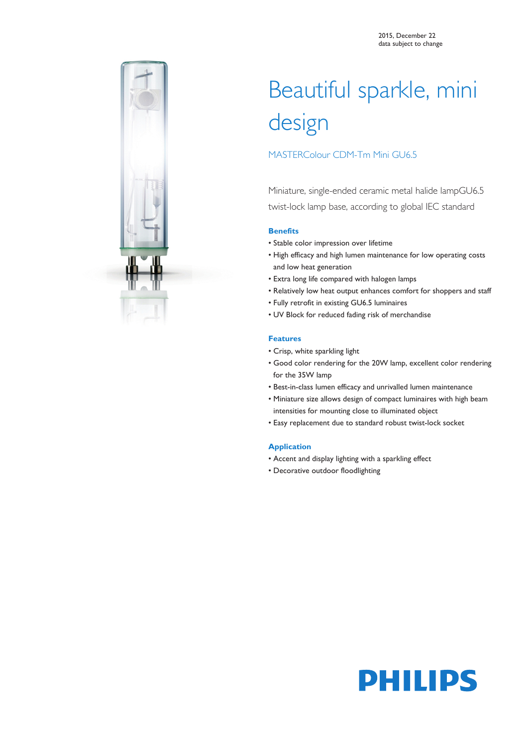

# Beautiful sparkle, mini design

# MASTERColour CDM-Tm Mini GU6.5

Miniature, single-ended ceramic metal halide lampGU6.5 twist-lock lamp base, according to global IEC standard

## **Benefits**

- Stable color impression over lifetime
- High efficacy and high lumen maintenance for low operating costs and low heat generation
- Extra long life compared with halogen lamps
- Relatively low heat output enhances comfort for shoppers and staff
- Fully retrofit in existing GU6.5 luminaires
- UV Block for reduced fading risk of merchandise

### **Features**

- Crisp, white sparkling light
- Good color rendering for the 20W lamp, excellent color rendering for the 35W lamp
- Best-in-class lumen efficacy and unrivalled lumen maintenance
- Miniature size allows design of compact luminaires with high beam intensities for mounting close to illuminated object
- Easy replacement due to standard robust twist-lock socket

#### **Application**

- Accent and display lighting with a sparkling effect
- Decorative outdoor floodlighting

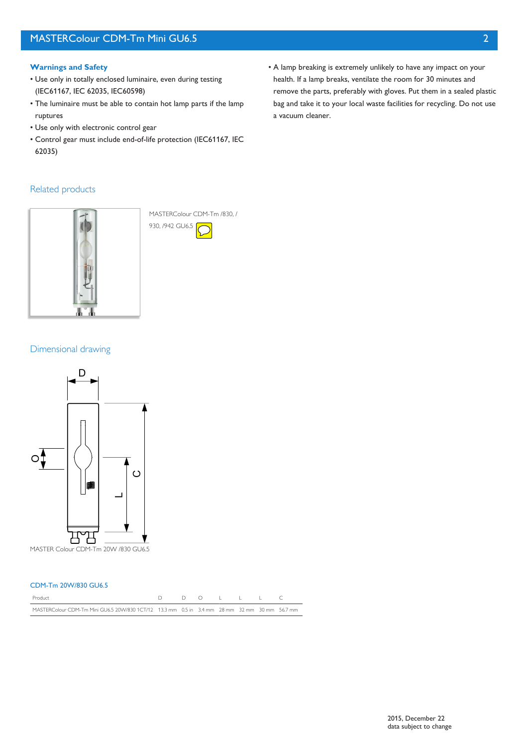### **Warnings and Safety**

- Use only in totally enclosed luminaire, even during testing (IEC61167, IEC 62035, IEC60598)
- The luminaire must be able to contain hot lamp parts if the lamp ruptures
- Use only with electronic control gear
- Control gear must include end-of-life protection (IEC61167, IEC 62035)
- A lamp breaking is extremely unlikely to have any impact on your health. If a lamp breaks, ventilate the room for 30 minutes and remove the parts, preferably with gloves. Put them in a sealed plastic bag and take it to your local waste facilities for recycling. Do not use a vacuum cleaner.

## Related products



MASTERColour CDM-Tm /830, / 930, /942 GU6.5

## Dimensional drawing



#### CDM-Tm 20W/830 GU6.5

| Product                                                                                       |  | DO LLLC |  |  |
|-----------------------------------------------------------------------------------------------|--|---------|--|--|
| MASTERColour CDM-Tm Mini GU6.5 20W/830 1CT/12 13.3 mm 0.5 in 3.4 mm 28 mm 32 mm 30 mm 56.7 mm |  |         |  |  |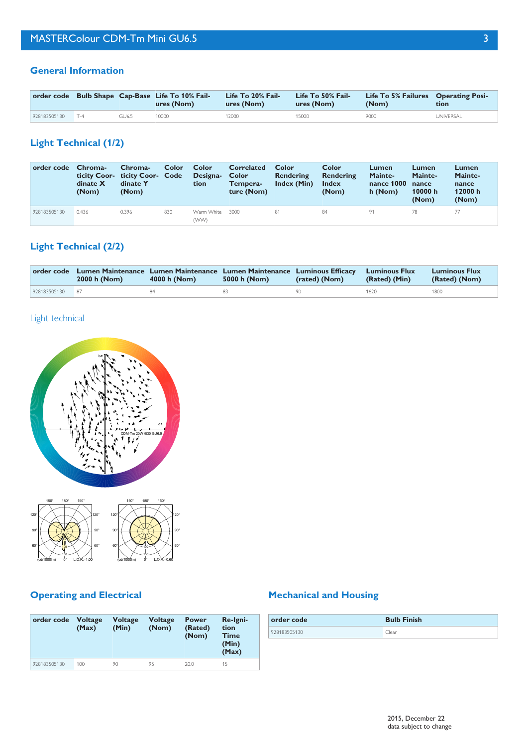## **General Information**

|              |       |       | order code Bulb Shape Cap-Base Life To 10% Fail-<br>ures (Nom) | Life To 20% Fail-<br>ures (Nom) | Life To 50% Fail-<br>ures (Nom) | Life To 5% Failures Operating Posi-<br>(Nom) | tion             |
|--------------|-------|-------|----------------------------------------------------------------|---------------------------------|---------------------------------|----------------------------------------------|------------------|
| 928183505130 | $T-4$ | GU6.5 | 10000                                                          | 12000                           | 5000                            | 9000                                         | <b>UNIVERSAL</b> |

# **Light Technical (1/2)**

| order code   | Chroma-<br>dinate $X$<br>(Nom) | Chroma-<br>ticity Coor- ticity Coor- Code<br>dinate Y<br>(Nom) | Color | <b>Color</b><br>Designa-<br>tion | Correlated<br>Color<br>Tempera-<br>ture (Nom) | Color<br>Rendering<br>Index (Min) | Color<br>Rendering<br><b>Index</b><br>(Nom) | Lumen<br>Mainte-<br>nance 1000<br>h (Nom) | Lumen<br>Mainte-<br>nance<br>10000 $h$<br>(Nom) | Lumen<br>Mainte-<br>nance<br>12000 h<br>(Nom) |
|--------------|--------------------------------|----------------------------------------------------------------|-------|----------------------------------|-----------------------------------------------|-----------------------------------|---------------------------------------------|-------------------------------------------|-------------------------------------------------|-----------------------------------------------|
| 928183505130 | 0.436                          | 0.396                                                          | 830   | Warm White<br>(WW)               | 3000                                          | 81                                | 84                                          | 91                                        | 78                                              |                                               |

# **Light Technical (2/2)**

|                 | 2000 h (Nom) | 4000 h (Nom) | order code Lumen Maintenance Lumen Maintenance Lumen Maintenance Luminous Efficacy Luminous Flux<br>5000 h (Nom) | (rated) (Nom) | (Rated) (Min) | <b>Luminous Flux</b><br>(Rated) (Nom) |
|-----------------|--------------|--------------|------------------------------------------------------------------------------------------------------------------|---------------|---------------|---------------------------------------|
| 928183505130 87 |              | 84.          | 83.                                                                                                              | 90            | 1620          | 1800                                  |

# Light technical



(cd/1000lm) L.O.R.=1.00 (cd/1000lm) 0° L.O.R.=0.60

# **Operating and Electrical**

0°

| order code   | <b>Voltage</b><br>(Max) | <b>Voltage</b><br>(Min) | <b>Voltage</b><br>(Nom) | <b>Power</b><br>(Rated)<br>(Nom) | Re-Igni-<br>tion<br><b>Time</b><br>(Min)<br>(Max) |
|--------------|-------------------------|-------------------------|-------------------------|----------------------------------|---------------------------------------------------|
| 928183505130 | 100                     | 90                      | 95                      | 20.0                             | 15                                                |

# **Mechanical and Housing**

| order code   | <b>Bulb Finish</b> |
|--------------|--------------------|
| 928183505130 | Clear              |